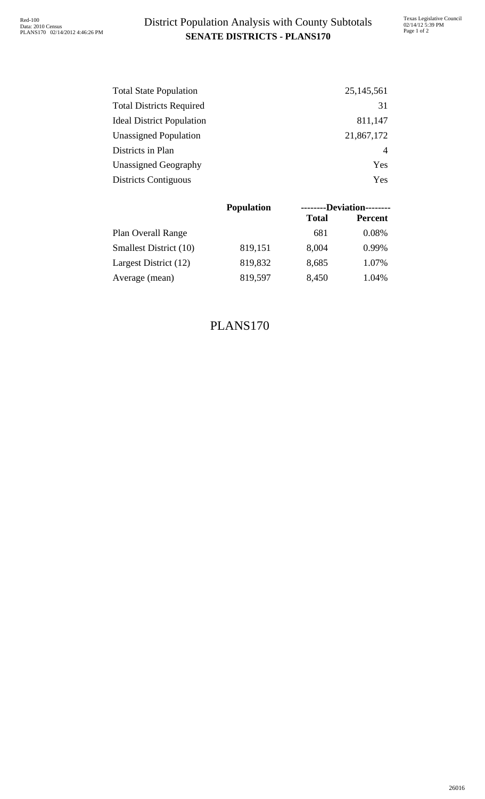| <b>Total State Population</b>    | 25, 145, 561 |
|----------------------------------|--------------|
| <b>Total Districts Required</b>  | 31           |
| <b>Ideal District Population</b> | 811,147      |
| <b>Unassigned Population</b>     | 21,867,172   |
| Districts in Plan                | 4            |
| Unassigned Geography             | Yes          |
| <b>Districts Contiguous</b>      | Yes          |

|                           | <b>Population</b> | --------Deviation-------- |                |  |  |
|---------------------------|-------------------|---------------------------|----------------|--|--|
|                           |                   | <b>Total</b>              | <b>Percent</b> |  |  |
| <b>Plan Overall Range</b> |                   | 681                       | 0.08%          |  |  |
| Smallest District (10)    | 819,151           | 8,004                     | 0.99%          |  |  |
| Largest District (12)     | 819,832           | 8,685                     | 1.07%          |  |  |
| Average (mean)            | 819,597           | 8,450                     | 1.04%          |  |  |

## PLANS170